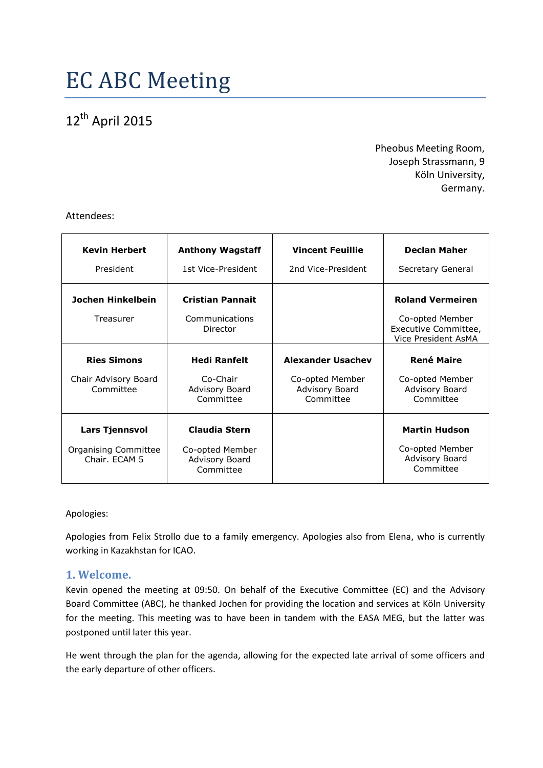# 12<sup>th</sup> April 2015

Pheobus Meeting Room, Joseph Strassmann, 9 Köln University, Germany.

Attendees:

| <b>Kevin Herbert</b>                  | <b>Anthony Wagstaff</b>                        | <b>Vincent Feuillie</b>                        | <b>Declan Maher</b>                                            |
|---------------------------------------|------------------------------------------------|------------------------------------------------|----------------------------------------------------------------|
| President                             | 1st Vice-President                             | 2nd Vice-President                             | Secretary General                                              |
| Jochen Hinkelbein                     | <b>Cristian Pannait</b>                        |                                                | <b>Roland Vermeiren</b>                                        |
| Treasurer                             | Communications<br>Director                     |                                                | Co-opted Member<br>Executive Committee,<br>Vice President AsMA |
| <b>Ries Simons</b>                    | <b>Hedi Ranfelt</b>                            | <b>Alexander Usachev</b>                       | <b>René Maire</b>                                              |
| Chair Advisory Board<br>Committee     | Co-Chair<br>Advisory Board<br>Committee        | Co-opted Member<br>Advisory Board<br>Committee | Co-opted Member<br>Advisory Board<br>Committee                 |
| <b>Lars Tjennsvol</b>                 | Claudia Stern                                  |                                                | <b>Martin Hudson</b>                                           |
| Organising Committee<br>Chair. ECAM 5 | Co-opted Member<br>Advisory Board<br>Committee |                                                | Co-opted Member<br>Advisory Board<br>Committee                 |

#### Apologies:

Apologies from Felix Strollo due to a family emergency. Apologies also from Elena, who is currently working in Kazakhstan for ICAO.

## **1. Welcome.**

Kevin opened the meeting at 09:50. On behalf of the Executive Committee (EC) and the Advisory Board Committee (ABC), he thanked Jochen for providing the location and services at Köln University for the meeting. This meeting was to have been in tandem with the EASA MEG, but the latter was postponed until later this year.

He went through the plan for the agenda, allowing for the expected late arrival of some officers and the early departure of other officers.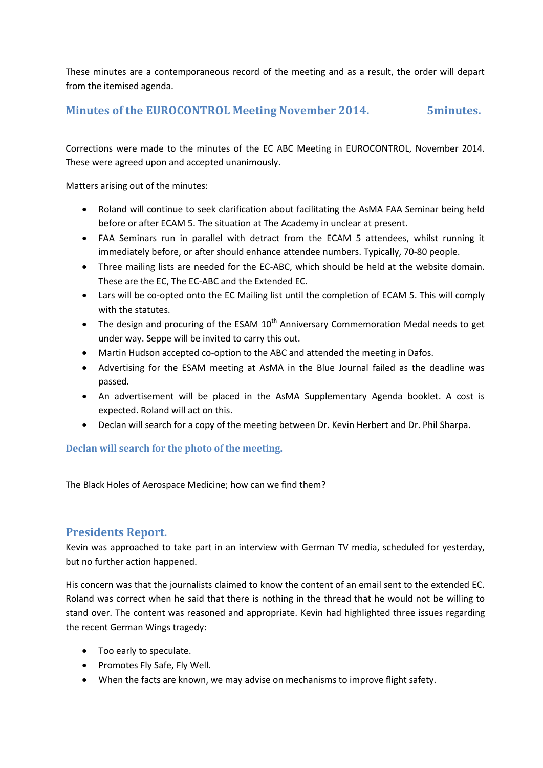These minutes are a contemporaneous record of the meeting and as a result, the order will depart from the itemised agenda.

## **Minutes of the EUROCONTROL Meeting November 2014. 5minutes.**

Corrections were made to the minutes of the EC ABC Meeting in EUROCONTROL, November 2014. These were agreed upon and accepted unanimously.

Matters arising out of the minutes:

- Roland will continue to seek clarification about facilitating the AsMA FAA Seminar being held before or after ECAM 5. The situation at The Academy in unclear at present.
- FAA Seminars run in parallel with detract from the ECAM 5 attendees, whilst running it immediately before, or after should enhance attendee numbers. Typically, 70-80 people.
- Three mailing lists are needed for the EC-ABC, which should be held at the website domain. These are the EC, The EC-ABC and the Extended EC.
- Lars will be co-opted onto the EC Mailing list until the completion of ECAM 5. This will comply with the statutes.
- The design and procuring of the ESAM  $10^{th}$  Anniversary Commemoration Medal needs to get under way. Seppe will be invited to carry this out.
- Martin Hudson accepted co-option to the ABC and attended the meeting in Dafos.
- Advertising for the ESAM meeting at AsMA in the Blue Journal failed as the deadline was passed.
- An advertisement will be placed in the AsMA Supplementary Agenda booklet. A cost is expected. Roland will act on this.
- Declan will search for a copy of the meeting between Dr. Kevin Herbert and Dr. Phil Sharpa.

#### **Declan will search for the photo of the meeting.**

The Black Holes of Aerospace Medicine; how can we find them?

## **Presidents Report.**

Kevin was approached to take part in an interview with German TV media, scheduled for yesterday, but no further action happened.

His concern was that the journalists claimed to know the content of an email sent to the extended EC. Roland was correct when he said that there is nothing in the thread that he would not be willing to stand over. The content was reasoned and appropriate. Kevin had highlighted three issues regarding the recent German Wings tragedy:

- Too early to speculate.
- Promotes Fly Safe, Fly Well.
- When the facts are known, we may advise on mechanisms to improve flight safety.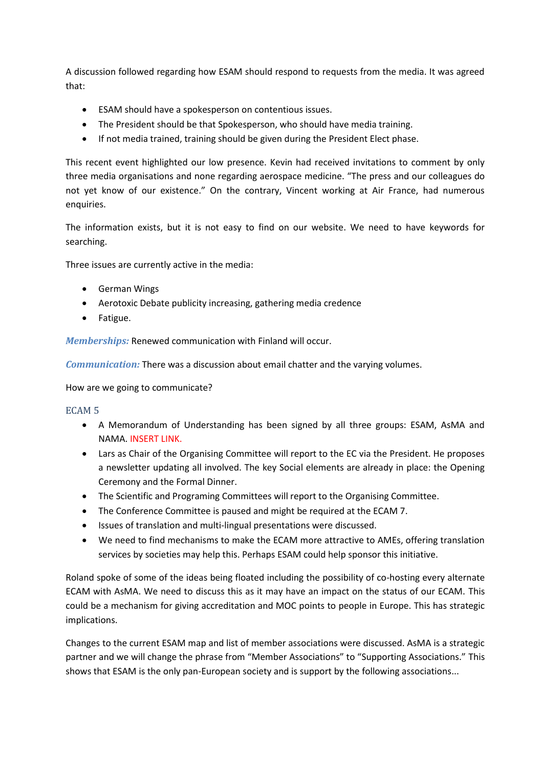A discussion followed regarding how ESAM should respond to requests from the media. It was agreed that:

- ESAM should have a spokesperson on contentious issues.
- The President should be that Spokesperson, who should have media training.
- If not media trained, training should be given during the President Elect phase.

This recent event highlighted our low presence. Kevin had received invitations to comment by only three media organisations and none regarding aerospace medicine. "The press and our colleagues do not yet know of our existence." On the contrary, Vincent working at Air France, had numerous enquiries.

The information exists, but it is not easy to find on our website. We need to have keywords for searching.

Three issues are currently active in the media:

- **•** German Wings
- Aerotoxic Debate publicity increasing, gathering media credence
- Fatigue.

*Memberships:* Renewed communication with Finland will occur.

*Communication:* There was a discussion about email chatter and the varying volumes.

How are we going to communicate?

#### ECAM 5

- A Memorandum of Understanding has been signed by all three groups: ESAM, AsMA and NAMA. INSERT LINK.
- Lars as Chair of the Organising Committee will report to the EC via the President. He proposes a newsletter updating all involved. The key Social elements are already in place: the Opening Ceremony and the Formal Dinner.
- The Scientific and Programing Committees will report to the Organising Committee.
- The Conference Committee is paused and might be required at the ECAM 7.
- Issues of translation and multi-lingual presentations were discussed.
- We need to find mechanisms to make the ECAM more attractive to AMEs, offering translation services by societies may help this. Perhaps ESAM could help sponsor this initiative.

Roland spoke of some of the ideas being floated including the possibility of co-hosting every alternate ECAM with AsMA. We need to discuss this as it may have an impact on the status of our ECAM. This could be a mechanism for giving accreditation and MOC points to people in Europe. This has strategic implications.

Changes to the current ESAM map and list of member associations were discussed. AsMA is a strategic partner and we will change the phrase from "Member Associations" to "Supporting Associations." This shows that ESAM is the only pan-European society and is support by the following associations...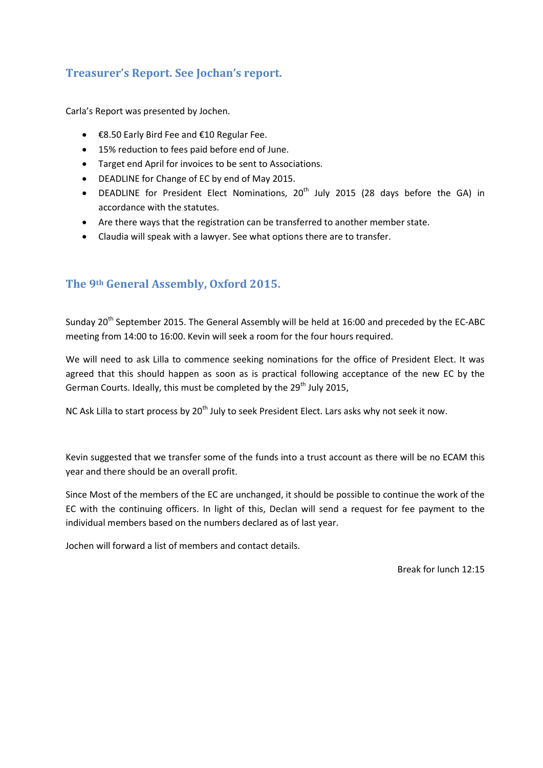# **Treasurer's Report. See Jochan's report.**

Carla's Report was presented by Jochen.

- €8.50 Early Bird Fee and €10 Regular Fee.
- 15% reduction to fees paid before end of June.
- Target end April for invoices to be sent to Associations.
- DEADLINE for Change of EC by end of May 2015.
- DEADLINE for President Elect Nominations,  $20^{th}$  July 2015 (28 days before the GA) in accordance with the statutes.
- Are there ways that the registration can be transferred to another member state.
- Claudia will speak with a lawyer. See what options there are to transfer.

# **The 9th General Assembly, Oxford 2015.**

Sunday 20<sup>th</sup> September 2015. The General Assembly will be held at 16:00 and preceded by the EC-ABC meeting from 14:00 to 16:00. Kevin will seek a room for the four hours required.

We will need to ask Lilla to commence seeking nominations for the office of President Elect. It was agreed that this should happen as soon as is practical following acceptance of the new EC by the German Courts. Ideally, this must be completed by the  $29<sup>th</sup>$  July 2015,

NC Ask Lilla to start process by 20<sup>th</sup> July to seek President Elect. Lars asks why not seek it now.

Kevin suggested that we transfer some of the funds into a trust account as there will be no ECAM this year and there should be an overall profit.

Since Most of the members of the EC are unchanged, it should be possible to continue the work of the EC with the continuing officers. In light of this, Declan will send a request for fee payment to the individual members based on the numbers declared as of last year.

Jochen will forward a list of members and contact details.

Break for lunch 12:15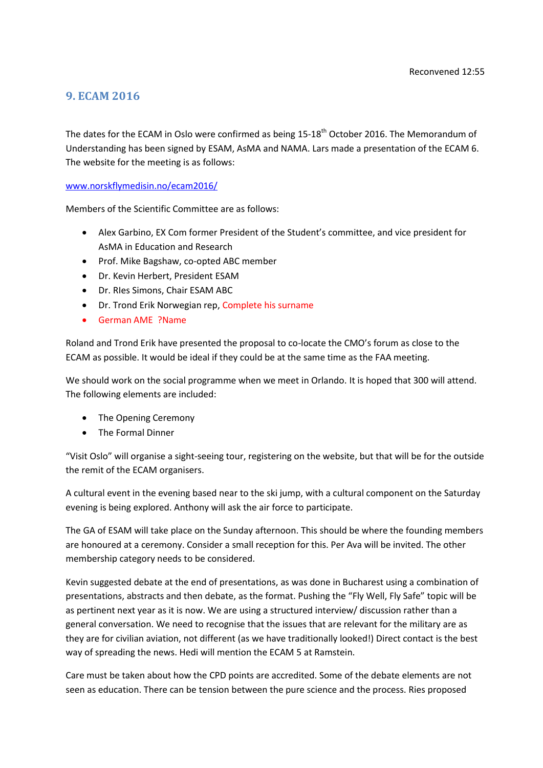## **9. ECAM 2016**

The dates for the ECAM in Oslo were confirmed as being 15-18<sup>th</sup> October 2016. The Memorandum of Understanding has been signed by ESAM, AsMA and NAMA. Lars made a presentation of the ECAM 6. The website for the meeting is as follows:

[www.norskflymedisin.no/ecam2016/](http://www.norskflymedisin.no/ecam2016/)

Members of the Scientific Committee are as follows:

- Alex Garbino, EX Com former President of the Student's committee, and vice president for AsMA in Education and Research
- Prof. Mike Bagshaw, co-opted ABC member
- Dr. Kevin Herbert, President ESAM
- Dr. RIes Simons, Chair ESAM ABC
- Dr. Trond Erik Norwegian rep, Complete his surname
- German AME ?Name

Roland and Trond Erik have presented the proposal to co-locate the CMO's forum as close to the ECAM as possible. It would be ideal if they could be at the same time as the FAA meeting.

We should work on the social programme when we meet in Orlando. It is hoped that 300 will attend. The following elements are included:

- The Opening Ceremony
- The Formal Dinner

"Visit Oslo" will organise a sight-seeing tour, registering on the website, but that will be for the outside the remit of the ECAM organisers.

A cultural event in the evening based near to the ski jump, with a cultural component on the Saturday evening is being explored. Anthony will ask the air force to participate.

The GA of ESAM will take place on the Sunday afternoon. This should be where the founding members are honoured at a ceremony. Consider a small reception for this. Per Ava will be invited. The other membership category needs to be considered.

Kevin suggested debate at the end of presentations, as was done in Bucharest using a combination of presentations, abstracts and then debate, as the format. Pushing the "Fly Well, Fly Safe" topic will be as pertinent next year as it is now. We are using a structured interview/ discussion rather than a general conversation. We need to recognise that the issues that are relevant for the military are as they are for civilian aviation, not different (as we have traditionally looked!) Direct contact is the best way of spreading the news. Hedi will mention the ECAM 5 at Ramstein.

Care must be taken about how the CPD points are accredited. Some of the debate elements are not seen as education. There can be tension between the pure science and the process. Ries proposed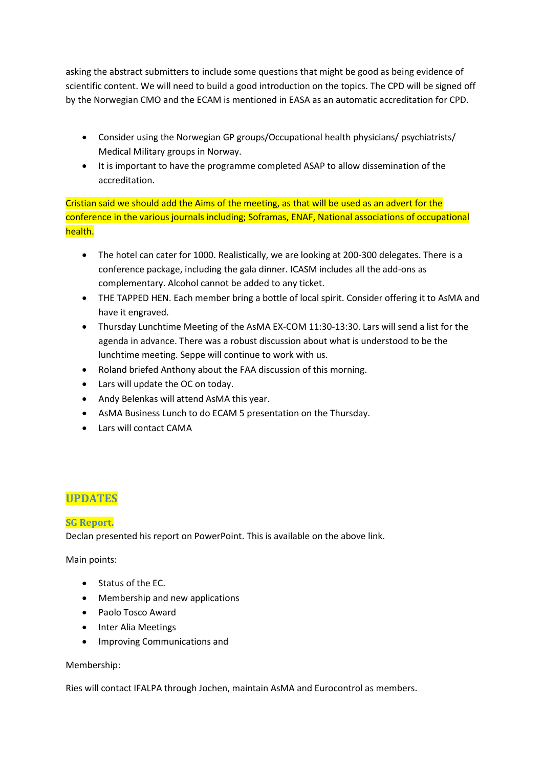asking the abstract submitters to include some questions that might be good as being evidence of scientific content. We will need to build a good introduction on the topics. The CPD will be signed off by the Norwegian CMO and the ECAM is mentioned in EASA as an automatic accreditation for CPD.

- Consider using the Norwegian GP groups/Occupational health physicians/ psychiatrists/ Medical Military groups in Norway.
- It is important to have the programme completed ASAP to allow dissemination of the accreditation.

Cristian said we should add the Aims of the meeting, as that will be used as an advert for the conference in the various journals including; Soframas, ENAF, National associations of occupational health.

- The hotel can cater for 1000. Realistically, we are looking at 200-300 delegates. There is a conference package, including the gala dinner. ICASM includes all the add-ons as complementary. Alcohol cannot be added to any ticket.
- THE TAPPED HEN. Each member bring a bottle of local spirit. Consider offering it to AsMA and have it engraved.
- Thursday Lunchtime Meeting of the AsMA EX-COM 11:30-13:30. Lars will send a list for the agenda in advance. There was a robust discussion about what is understood to be the lunchtime meeting. Seppe will continue to work with us.
- Roland briefed Anthony about the FAA discussion of this morning.
- Lars will update the OC on today.
- Andy Belenkas will attend AsMA this year.
- AsMA Business Lunch to do ECAM 5 presentation on the Thursday.
- Lars will contact CAMA

# **UPDATES**

## **SG Report.**

Declan presented his report on PowerPoint. This is available on the above link.

Main points:

- Status of the EC.
- Membership and new applications
- Paolo Tosco Award
- Inter Alia Meetings
- Improving Communications and

#### Membership:

Ries will contact IFALPA through Jochen, maintain AsMA and Eurocontrol as members.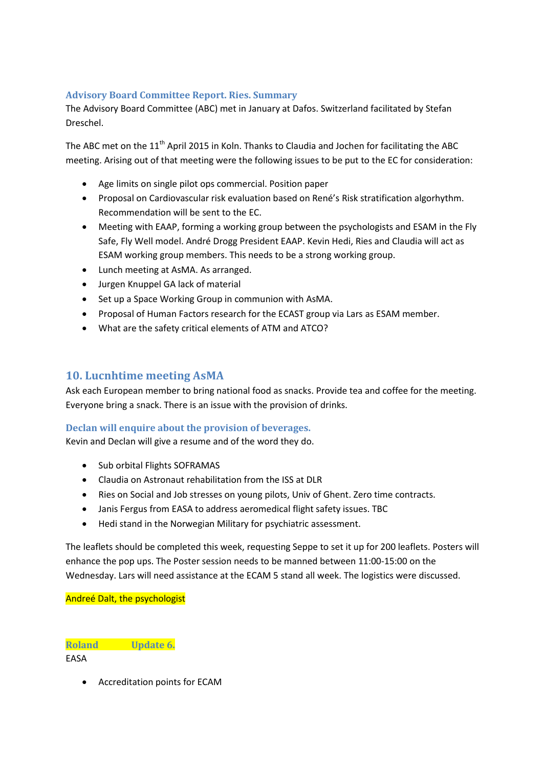#### **Advisory Board Committee Report. Ries. Summary**

The Advisory Board Committee (ABC) met in January at Dafos. Switzerland facilitated by Stefan Dreschel.

The ABC met on the 11<sup>th</sup> April 2015 in Koln. Thanks to Claudia and Jochen for facilitating the ABC meeting. Arising out of that meeting were the following issues to be put to the EC for consideration:

- Age limits on single pilot ops commercial. Position paper
- Proposal on Cardiovascular risk evaluation based on René's Risk stratification algorhythm. Recommendation will be sent to the EC.
- Meeting with EAAP, forming a working group between the psychologists and ESAM in the Fly Safe, Fly Well model. André Drogg President EAAP. Kevin Hedi, Ries and Claudia will act as ESAM working group members. This needs to be a strong working group.
- Lunch meeting at AsMA. As arranged.
- Jurgen Knuppel GA lack of material
- Set up a Space Working Group in communion with AsMA.
- Proposal of Human Factors research for the ECAST group via Lars as ESAM member.
- What are the safety critical elements of ATM and ATCO?

# **10. Lucnhtime meeting AsMA**

Ask each European member to bring national food as snacks. Provide tea and coffee for the meeting. Everyone bring a snack. There is an issue with the provision of drinks.

#### **Declan will enquire about the provision of beverages.**

Kevin and Declan will give a resume and of the word they do.

- Sub orbital Flights SOFRAMAS
- Claudia on Astronaut rehabilitation from the ISS at DLR
- Ries on Social and Job stresses on young pilots, Univ of Ghent. Zero time contracts.
- Janis Fergus from EASA to address aeromedical flight safety issues. TBC
- Hedi stand in the Norwegian Military for psychiatric assessment.

The leaflets should be completed this week, requesting Seppe to set it up for 200 leaflets. Posters will enhance the pop ups. The Poster session needs to be manned between 11:00-15:00 on the Wednesday. Lars will need assistance at the ECAM 5 stand all week. The logistics were discussed.

Andreé Dalt, the psychologist

**Roland Update 6.**

EASA

Accreditation points for ECAM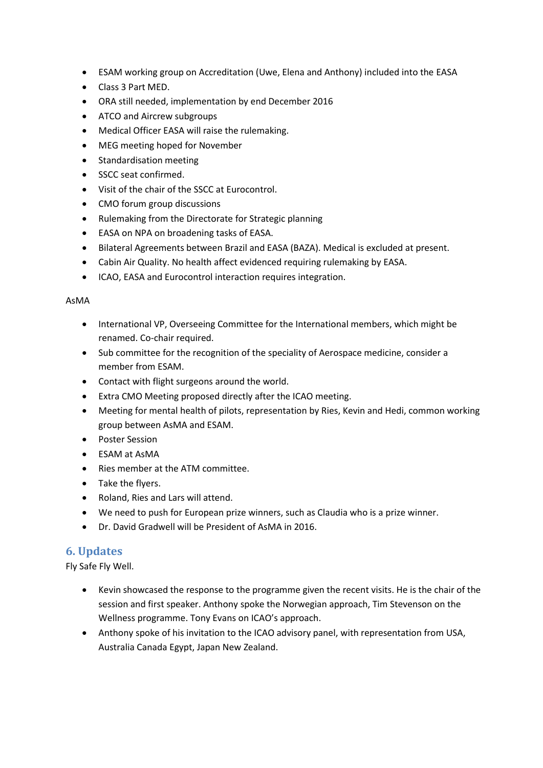- ESAM working group on Accreditation (Uwe, Elena and Anthony) included into the EASA
- Class 3 Part MED.
- ORA still needed, implementation by end December 2016
- ATCO and Aircrew subgroups
- Medical Officer EASA will raise the rulemaking.
- MEG meeting hoped for November
- Standardisation meeting
- SSCC seat confirmed.
- Visit of the chair of the SSCC at Eurocontrol.
- CMO forum group discussions
- Rulemaking from the Directorate for Strategic planning
- EASA on NPA on broadening tasks of EASA.
- Bilateral Agreements between Brazil and EASA (BAZA). Medical is excluded at present.
- Cabin Air Quality. No health affect evidenced requiring rulemaking by EASA.
- ICAO, EASA and Eurocontrol interaction requires integration.

#### AsMA

- International VP, Overseeing Committee for the International members, which might be renamed. Co-chair required.
- Sub committee for the recognition of the speciality of Aerospace medicine, consider a member from ESAM.
- Contact with flight surgeons around the world.
- Extra CMO Meeting proposed directly after the ICAO meeting.
- Meeting for mental health of pilots, representation by Ries, Kevin and Hedi, common working group between AsMA and ESAM.
- Poster Session
- ESAM at AsMA
- Ries member at the ATM committee.
- Take the flyers.
- Roland, Ries and Lars will attend.
- We need to push for European prize winners, such as Claudia who is a prize winner.
- Dr. David Gradwell will be President of AsMA in 2016.

# **6. Updates**

Fly Safe Fly Well.

- Kevin showcased the response to the programme given the recent visits. He is the chair of the session and first speaker. Anthony spoke the Norwegian approach, Tim Stevenson on the Wellness programme. Tony Evans on ICAO's approach.
- Anthony spoke of his invitation to the ICAO advisory panel, with representation from USA, Australia Canada Egypt, Japan New Zealand.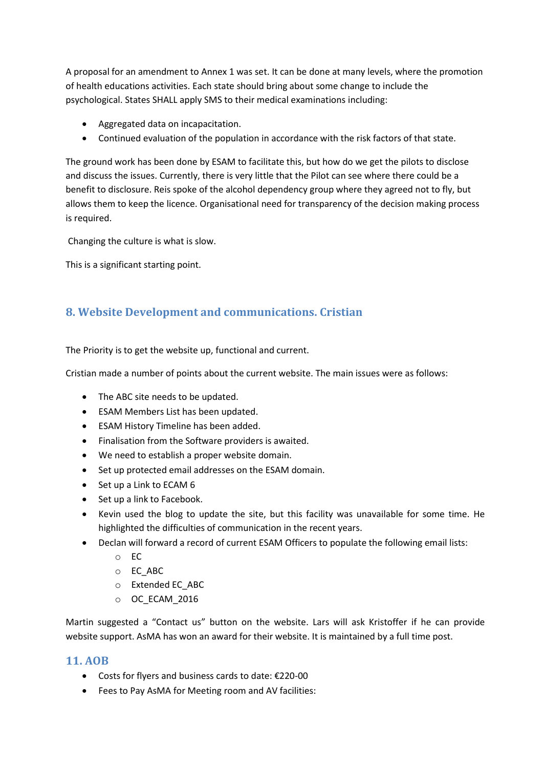A proposal for an amendment to Annex 1 was set. It can be done at many levels, where the promotion of health educations activities. Each state should bring about some change to include the psychological. States SHALL apply SMS to their medical examinations including:

- Aggregated data on incapacitation.
- Continued evaluation of the population in accordance with the risk factors of that state.

The ground work has been done by ESAM to facilitate this, but how do we get the pilots to disclose and discuss the issues. Currently, there is very little that the Pilot can see where there could be a benefit to disclosure. Reis spoke of the alcohol dependency group where they agreed not to fly, but allows them to keep the licence. Organisational need for transparency of the decision making process is required.

Changing the culture is what is slow.

This is a significant starting point.

# **8. Website Development and communications. Cristian**

The Priority is to get the website up, functional and current.

Cristian made a number of points about the current website. The main issues were as follows:

- The ABC site needs to be updated.
- ESAM Members List has been updated.
- ESAM History Timeline has been added.
- Finalisation from the Software providers is awaited.
- We need to establish a proper website domain.
- Set up protected email addresses on the ESAM domain.
- $\bullet$  Set up a Link to ECAM 6
- Set up a link to Facebook.
- Kevin used the blog to update the site, but this facility was unavailable for some time. He highlighted the difficulties of communication in the recent years.
- Declan will forward a record of current ESAM Officers to populate the following email lists:
	- $\circ$  FC
	- o EC\_ABC
	- o Extended EC\_ABC
	- o OC\_ECAM\_2016

Martin suggested a "Contact us" button on the website. Lars will ask Kristoffer if he can provide website support. AsMA has won an award for their website. It is maintained by a full time post.

## **11. AOB**

- Costs for flyers and business cards to date: €220-00
- Fees to Pay AsMA for Meeting room and AV facilities: